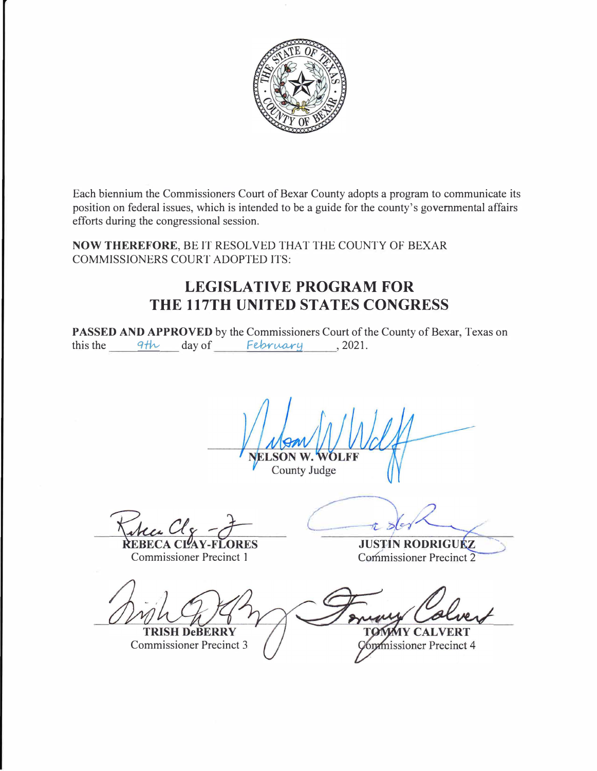

Each biennium the Commissioners Court of Bexar County adopts a program to communicate its position on federal issues, which is intended to be a guide for the county's governmental affairs efforts during the congressional session.

**NOW THEREFORE,** BE IT RESOLVED THAT THE COUNTY OF BEXAR COMMISSIONERS COURT ADOPTED ITS:

## **LEGISLATIVE PROGRAM FOR THE 117TH UNITED STATES CONGRESS**

**PASSED AND APPROVED** by the Commissioners Court of the County of Bexar, Texas on this the  $4$ <sup>th</sup> day of February , 2021.

County Judge

Commissioner Precinct 1

**JUSTIN RODRIGUEZ** Commissioner Precinct 2

.... .....

**TRISH DeBERRY** Commissioner Precinct 3

**MY CALVERT** *<u><u><b>Kommissioner</u>* Precinct 4</u>